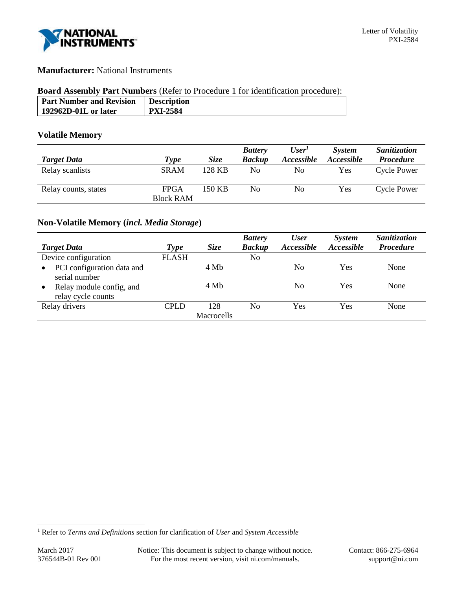

# **Manufacturer:** National Instruments

### **Board Assembly Part Numbers** (Refer to Procedure 1 for identification procedure):

| <b>Part Number and Revision</b> | <b>Description</b> |
|---------------------------------|--------------------|
| 192962D-01L or later            | <b>PXI-2584</b>    |
|                                 |                    |

## **Volatile Memory**

|                      |                  |             | <b>Battery</b> | User <sup>1</sup> | <b>System</b>     | <b>Sanitization</b> |
|----------------------|------------------|-------------|----------------|-------------------|-------------------|---------------------|
| <b>Target Data</b>   | Type             | <i>Size</i> | <b>Backup</b>  | Accessible        | <i>Accessible</i> | <b>Procedure</b>    |
| Relay scanlists      | <b>SRAM</b>      | 128 KB      | No             | No                | <b>Yes</b>        | <b>Cycle Power</b>  |
| Relay counts, states | <b>FPGA</b>      | 150 KB      | No             | No                | Yes               | <b>Cycle Power</b>  |
|                      | <b>Block RAM</b> |             |                |                   |                   |                     |

## **Non-Volatile Memory (***incl. Media Storage***)**

| <b>Target Data</b>                                          | Type         | <b>Size</b> | <b>Battery</b><br><b>Backup</b> | <b>User</b><br>Accessible | System<br>Accessible | Sanitization<br><b>Procedure</b> |
|-------------------------------------------------------------|--------------|-------------|---------------------------------|---------------------------|----------------------|----------------------------------|
| Device configuration                                        | <b>FLASH</b> |             | No                              |                           |                      |                                  |
| PCI configuration data and<br>$\bullet$<br>serial number    |              | 4 Mb        |                                 | N <sub>0</sub>            | Yes                  | None                             |
| Relay module config, and<br>$\bullet$<br>relay cycle counts |              | 4 Mb        |                                 | N <sub>0</sub>            | Yes                  | None                             |
| Relay drivers                                               | CPLD         | 128         | N <sub>0</sub>                  | Yes                       | Yes                  | None                             |
|                                                             |              | Macrocells  |                                 |                           |                      |                                  |

l

<sup>1</sup> Refer to *Terms and Definitions* section for clarification of *User* and *System Accessible*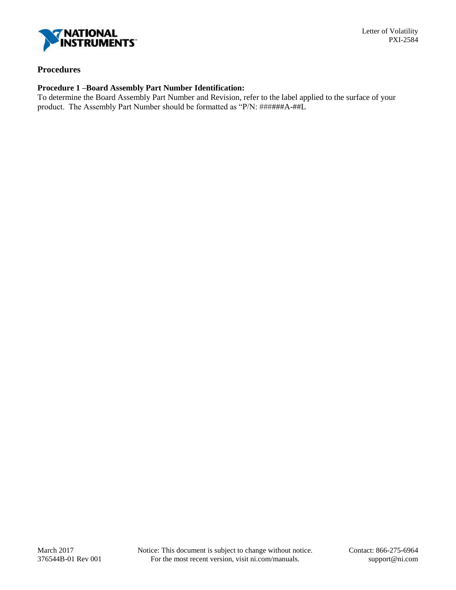

### **Procedures**

## **Procedure 1 –Board Assembly Part Number Identification:**

To determine the Board Assembly Part Number and Revision, refer to the label applied to the surface of your product. The Assembly Part Number should be formatted as "P/N: ######A-##L